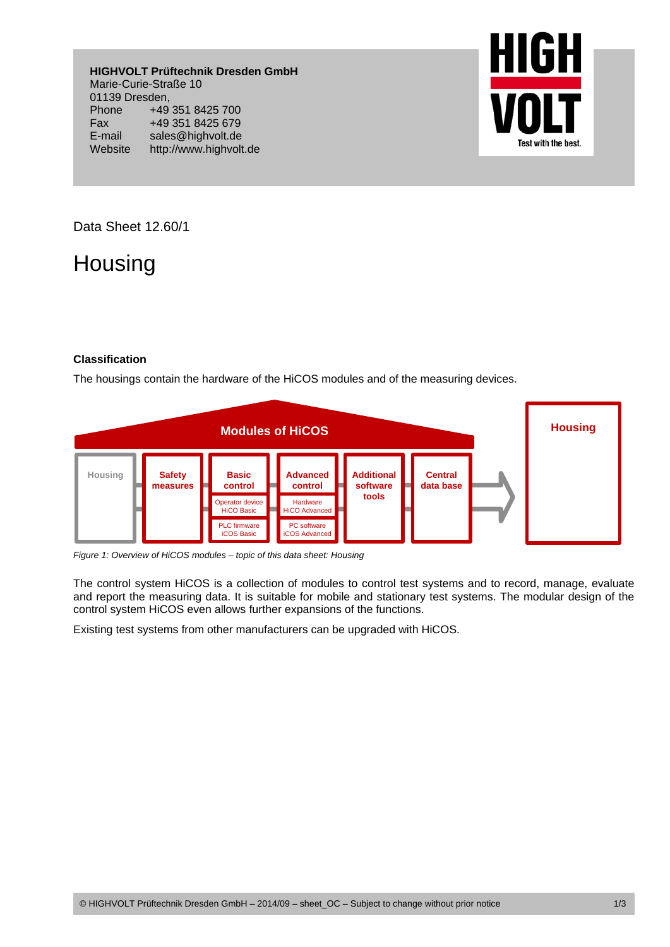**HIGHVOLT Prüftechnik Dresden GmbH**  Marie-Curie-Straße 10 01139 Dresden, Phone +49 351 8425 700 Fax +49 351 8425 679 E-mail sales@highvolt.de Website http://www.highvolt.de



Data Sheet 12.60/1

## Housing

## **Classification**

The housings contain the hardware of the HiCOS modules and of the measuring devices.



*Figure 1: Overview of HiCOS modules – topic of this data sheet: Housing* 

The control system HiCOS is a collection of modules to control test systems and to record, manage, evaluate and report the measuring data. It is suitable for mobile and stationary test systems. The modular design of the control system HiCOS even allows further expansions of the functions.

Existing test systems from other manufacturers can be upgraded with HiCOS.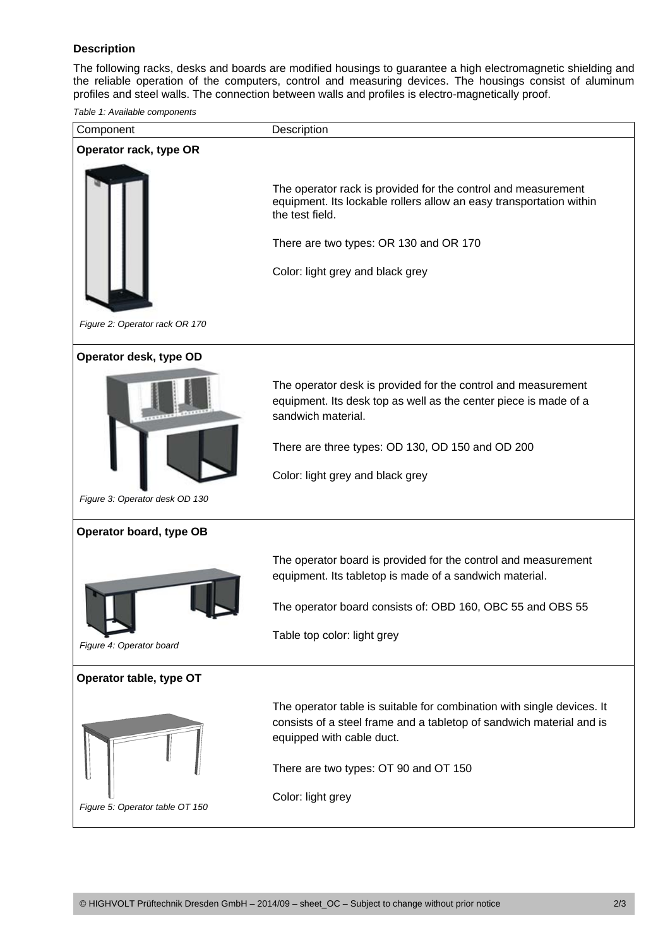## **Description**

The following racks, desks and boards are modified housings to guarantee a high electromagnetic shielding and the reliable operation of the computers, control and measuring devices. The housings consist of aluminum profiles and steel walls. The connection between walls and profiles is electro-magnetically proof.

*Table 1: Available components* 

| Component                       | Description                                                                                                                                                                                                                                     |
|---------------------------------|-------------------------------------------------------------------------------------------------------------------------------------------------------------------------------------------------------------------------------------------------|
| Operator rack, type OR          |                                                                                                                                                                                                                                                 |
|                                 | The operator rack is provided for the control and measurement<br>equipment. Its lockable rollers allow an easy transportation within<br>the test field.<br>There are two types: OR 130 and OR 170<br>Color: light grey and black grey           |
| Figure 2: Operator rack OR 170  |                                                                                                                                                                                                                                                 |
| Operator desk, type OD          |                                                                                                                                                                                                                                                 |
|                                 | The operator desk is provided for the control and measurement<br>equipment. Its desk top as well as the center piece is made of a<br>sandwich material.<br>There are three types: OD 130, OD 150 and OD 200<br>Color: light grey and black grey |
| Figure 3: Operator desk OD 130  |                                                                                                                                                                                                                                                 |
| Operator board, type OB         |                                                                                                                                                                                                                                                 |
|                                 | The operator board is provided for the control and measurement<br>equipment. Its tabletop is made of a sandwich material.                                                                                                                       |
|                                 | The operator board consists of: OBD 160, OBC 55 and OBS 55                                                                                                                                                                                      |
| Figure 4: Operator board        | Table top color: light grey                                                                                                                                                                                                                     |
| Operator table, type OT         |                                                                                                                                                                                                                                                 |
|                                 | The operator table is suitable for combination with single devices. It<br>consists of a steel frame and a tabletop of sandwich material and is<br>equipped with cable duct.                                                                     |
|                                 | There are two types: OT 90 and OT 150                                                                                                                                                                                                           |
| Figure 5: Operator table OT 150 | Color: light grey                                                                                                                                                                                                                               |